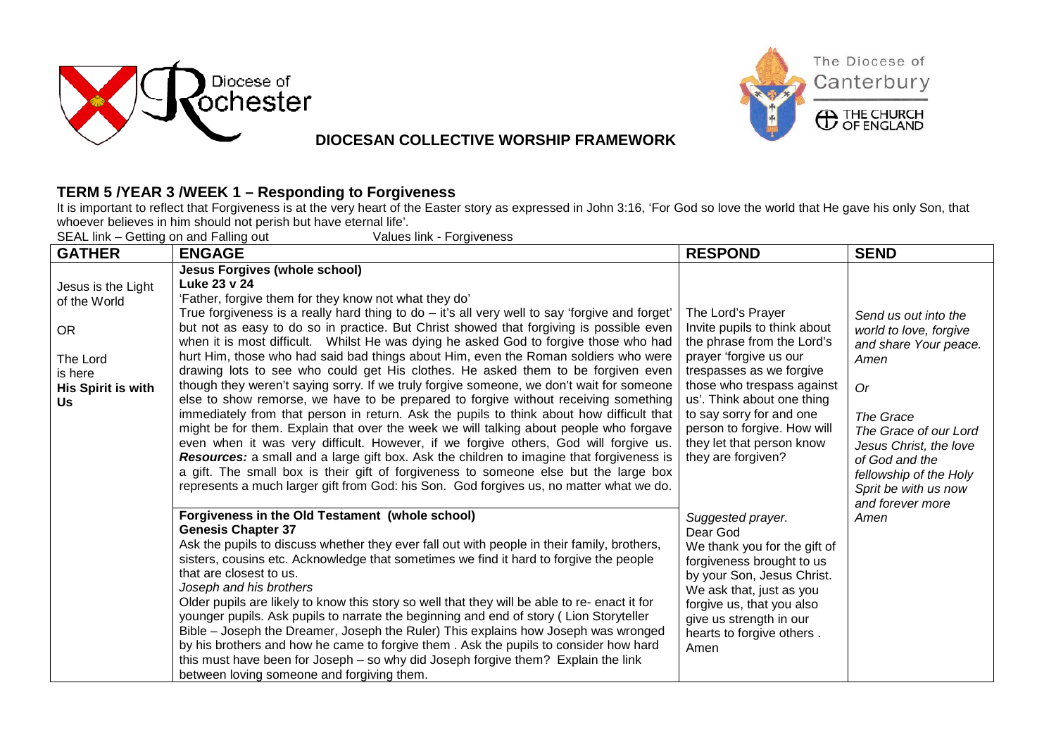



## **DIOCESAN COLLECTIVE WORSHIP FRAMEWORK**

## **TERM 5 /YEAR 3 /WEEK 1 – Responding to Forgiveness**

It is important to reflect that Forgiveness is at the very heart of the Easter story as expressed in John 3:16, 'For God so love the world that He gave his only Son, that whoever believes in him should not perish but have eternal life'.

SEAL link – Getting on and Falling out Values link - Forgiveness

| <b>GATHER</b>                                                                                             | <b>ENGAGE</b>                                                                                                                                                                                                                                                                                                                                                                                                                                                                                                                                                                                                                                                                                                                                                                                                                                                                                                                                                                                                                                                                                                                                                                                                                                                                                                                                                                                                                                                                                                                                                                                             | <b>RESPOND</b>                                                                                                                                                                                                                                                                                                                                                                                                | <b>SEND</b>                                                                                                                                                                                                                                                  |
|-----------------------------------------------------------------------------------------------------------|-----------------------------------------------------------------------------------------------------------------------------------------------------------------------------------------------------------------------------------------------------------------------------------------------------------------------------------------------------------------------------------------------------------------------------------------------------------------------------------------------------------------------------------------------------------------------------------------------------------------------------------------------------------------------------------------------------------------------------------------------------------------------------------------------------------------------------------------------------------------------------------------------------------------------------------------------------------------------------------------------------------------------------------------------------------------------------------------------------------------------------------------------------------------------------------------------------------------------------------------------------------------------------------------------------------------------------------------------------------------------------------------------------------------------------------------------------------------------------------------------------------------------------------------------------------------------------------------------------------|---------------------------------------------------------------------------------------------------------------------------------------------------------------------------------------------------------------------------------------------------------------------------------------------------------------------------------------------------------------------------------------------------------------|--------------------------------------------------------------------------------------------------------------------------------------------------------------------------------------------------------------------------------------------------------------|
| Jesus is the Light<br>of the World<br><b>OR</b><br>The Lord<br>is here<br><b>His Spirit is with</b><br>Us | <b>Jesus Forgives (whole school)</b><br>Luke 23 v 24<br>'Father, forgive them for they know not what they do'<br>True forgiveness is a really hard thing to $do - it's$ all very well to say 'forgive and forget'<br>but not as easy to do so in practice. But Christ showed that forgiving is possible even<br>when it is most difficult.  Whilst He was dying he asked God to forgive those who had<br>hurt Him, those who had said bad things about Him, even the Roman soldiers who were<br>drawing lots to see who could get His clothes. He asked them to be forgiven even<br>though they weren't saying sorry. If we truly forgive someone, we don't wait for someone<br>else to show remorse, we have to be prepared to forgive without receiving something<br>immediately from that person in return. Ask the pupils to think about how difficult that<br>might be for them. Explain that over the week we will talking about people who forgave<br>even when it was very difficult. However, if we forgive others, God will forgive us.<br>Resources: a small and a large gift box. Ask the children to imagine that forgiveness is<br>a gift. The small box is their gift of forgiveness to someone else but the large box<br>represents a much larger gift from God: his Son. God forgives us, no matter what we do.<br>Forgiveness in the Old Testament (whole school)<br><b>Genesis Chapter 37</b><br>Ask the pupils to discuss whether they ever fall out with people in their family, brothers,<br>sisters, cousins etc. Acknowledge that sometimes we find it hard to forgive the people | The Lord's Prayer<br>Invite pupils to think about<br>the phrase from the Lord's<br>prayer 'forgive us our<br>trespasses as we forgive<br>those who trespass against<br>us'. Think about one thing<br>to say sorry for and one<br>person to forgive. How will<br>they let that person know<br>they are forgiven?<br>Suggested prayer.<br>Dear God<br>We thank you for the gift of<br>forgiveness brought to us | Send us out into the<br>world to love, forgive<br>and share Your peace.<br>Amen<br><b>Or</b><br>The Grace<br>The Grace of our Lord<br>Jesus Christ, the love<br>of God and the<br>fellowship of the Holy<br>Sprit be with us now<br>and forever more<br>Amen |
|                                                                                                           | that are closest to us.<br>Joseph and his brothers<br>Older pupils are likely to know this story so well that they will be able to re- enact it for<br>younger pupils. Ask pupils to narrate the beginning and end of story (Lion Storyteller<br>Bible - Joseph the Dreamer, Joseph the Ruler) This explains how Joseph was wronged<br>by his brothers and how he came to forgive them. Ask the pupils to consider how hard<br>this must have been for Joseph – so why did Joseph forgive them? Explain the link<br>between loving someone and forgiving them.                                                                                                                                                                                                                                                                                                                                                                                                                                                                                                                                                                                                                                                                                                                                                                                                                                                                                                                                                                                                                                            | by your Son, Jesus Christ.<br>We ask that, just as you<br>forgive us, that you also<br>give us strength in our<br>hearts to forgive others.<br>Amen                                                                                                                                                                                                                                                           |                                                                                                                                                                                                                                                              |